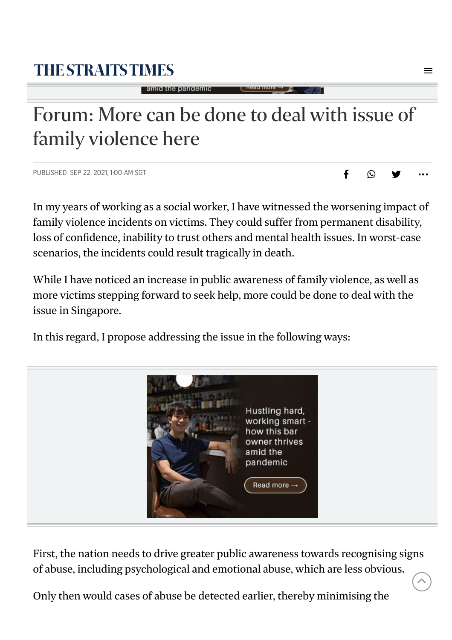## <span id="page-0-0"></span>**THE STRAITS TIMES**

#### amid the pandemic

# Forum: More can be done to deal with issue of family violence here

PUBLISHED SEP 22, 2021, 1:00 AM SGT **F** 

In my years of working as a social worker, I have witnessed the worsening impact of family violence incidents on victims. They could suffer from permanent disability, loss of confidence, inability to trust others and mental health issues. In worst-case scenarios, the incidents could result tragically in death.

<del>.</del><br>∴ ⊌ ©

While I have noticed an increase in public awareness of family violence, as well as more victims stepping forward to seek help, more could be done to deal with the issue in Singapore.

In this regard, I propose addressing the issue in the following ways:



First, the nation needs to drive greater public awareness towards recognising signs of abuse, including psychological and emotional abuse, which are less obvious.

Only then would cases of abuse be detected earlier, thereby minimising the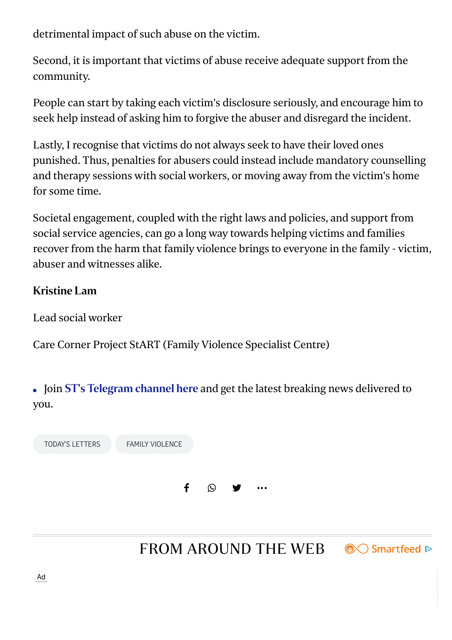detrimental impact of such abuse on the victim.

Second, it is important that victims of abuse receive adequate support from the community.

People can start by taking each victim's disclosure seriously, and encourage him to seek help instead of asking him to forgive the abuser and disregard the incident.

Lastly, I recognise that victims do not always seek to have their loved ones punished. Thus, penalties for abusers could instead include mandatory counselling and therapy sessions with social workers, or moving away from the victim's home for some time.

Societal engagement, coupled with the right laws and policies, and support from social service agencies, can go a long way towards helping victims and families recover from the harm that family violence brings to everyone in the family - victim, abuser and witnesses alike.

#### Kristine Lam

Lead social worker

Care Corner Project StART (Family Violence Specialist Centre)

• Join ST's [Telegram](https://t.me/TheStraitsTimes) channel here and get the latest breaking news delivered to you.

TODAY'S [LETTERS](https://www.straitstimes.com/tags/todays-letters) FAMILY [VIOLENCE](https://www.straitstimes.com/tags/family-violence) f  $\odot$   $\bullet$  [...](#page-0-0)

FROM AROUND THE WEB

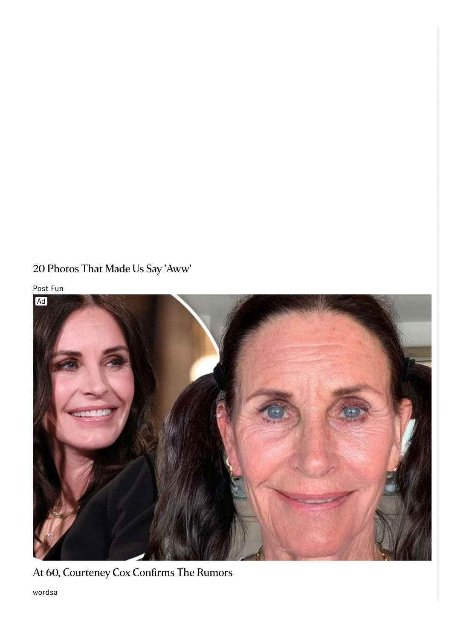#### 20 Photos That Made Us Say 'Aww'

Post Fun



At 60, [Courteney](https://trace.mediago.io/api/bidder/track?tn=bc72b3eb6925c20c847099cbb2fe144f&price=eXHUarvRT0d59mSOBlecjeO8UXBe3Ri1omjCc385FbI&evt=102&rid=7399cbd3352658221b22ee6ddd59b320&campaignid=1050119&impid=39-4.645x337-1&offerid=2893241&test=0&time=1632471678&cp=X8Ikn45zdyIR8Njet0pyz5p7cOsYgnSldXuHecQMc5Y&clickid=39_7399cbd3352658221b22ee6ddd59b320_39-4.645x337-1&acid=560&trackingid=d8c2da20583aed7b98b52ebb8f328d3f&uid=a0aa9d7441e51440cdae43e14029d708d821a3766c2a4ee6e5e50fff81d9063d&jt=2&url=sGPaIkXVdbWoknnXQ5r5fxAabY2uTFyqhhbN4rtu-CwBMoQC8BJtVCYETJEFE3biDujK_F6yuc1YlS0Bg-f4cMly8LID7lMuhTmrTEVPux3hhHlzHIvdwq6i4cN_TOHEvMjcyjOBjzLROCB3uJobCR6mr491Fbv7BXUydNi0J3yD-io6A4VFTnMmfw0YavJFVv-gGqBvKXY8lmx_3DwfRtC_iztnG05D8fiDM-6zKhs1IaMRBz3QJzMt2ztpDInngfOs_EmXEC7tpOMVEwSLWKjEQl8wTQs6Jq6BzvAMwEwlABIf3IzkI7mVrG16ubAYhNMkk2sVjIoh1kE_AipDIrCwBri77VvmnMRAXwdYZ6c&bm=5&la=en&cn=us&cid=1101726&info=Y6vmHybkTmrDY12L0Ozw-8zqzf-Ag3qDrJ5xCK37lOelUKsWdY9o68199lD5p3VD&obOrigUrl=true) Cox Confirms The Rumors

wordsa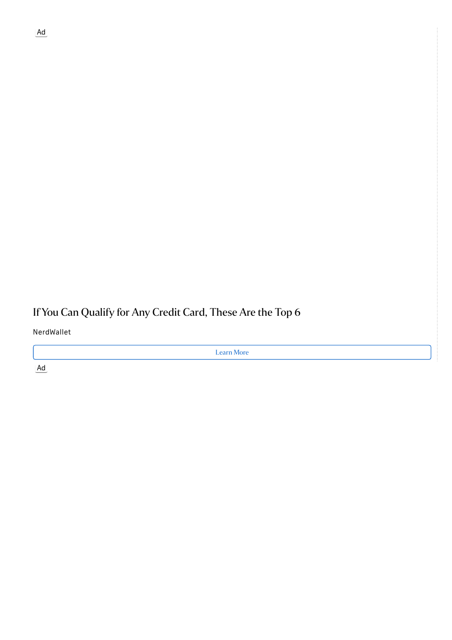#### If You Can Qualify for Any Credit Card, These Are the Top 6

NerdWallet

Learn More

[Ad](https://www.thecheyennepost.com/sponsored/the-real-facts-about-caffeine/article_2ed55e3c-b389-11eb-a08c-0bff1fcc8aaf.html?obOrigUrl=true)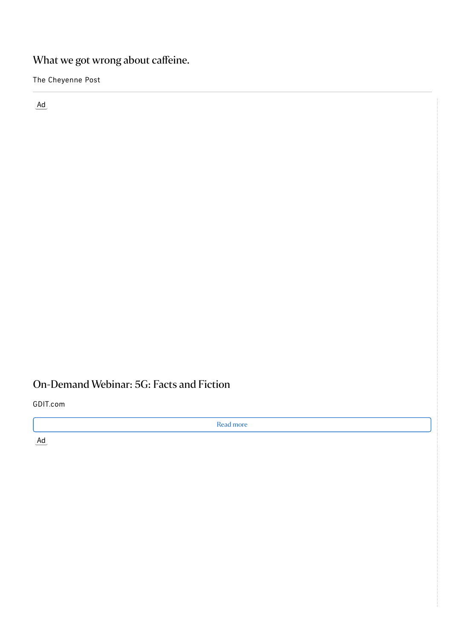#### What we got wrong about caffeine.

The Cheyenne Post

Ad

### [On-Demand](https://www.thecheyennepost.com/sponsored/the-real-facts-about-caffeine/article_2ed55e3c-b389-11eb-a08c-0bff1fcc8aaf.html?obOrigUrl=true) Webinar: 5G: Facts and Fiction

GDIT.com

Read more

[Ad](https://bonvoyaged.com/amazing-wild-west-photos/?utm_source=outbrain-adrizer&utm_medium=outbrain-adrizer&utm_campaign=471198&azs=outbrain-adrizer&azc=471198&azw=$publisher_name$_-_$section_name$_-_$publisher_id$_-_$section_id$&utm_term=$publisher_name$_-_$section_name$_-_$publisher_id$_-_$section_id$&obOrigUrl=true)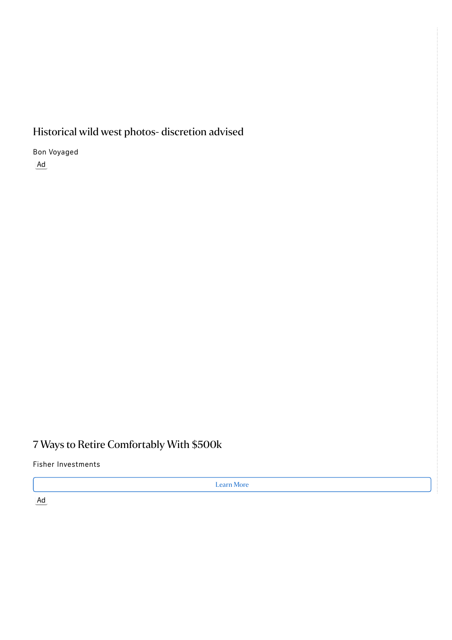#### Historical wild west photos- discretion advised

Bon Voyaged

Ad

#### 7 Ways to Retire [Comfortably](https://bonvoyaged.com/amazing-wild-west-photos/?utm_source=outbrain-adrizer&utm_medium=outbrain-adrizer&utm_campaign=471198&azs=outbrain-adrizer&azc=471198&azw=$publisher_name$_-_$section_name$_-_$publisher_id$_-_$section_id$&utm_term=$publisher_name$_-_$section_name$_-_$publisher_id$_-_$section_id$&obOrigUrl=true) With \$500k

Fisher Investments

Learn More

[Ad](https://betterbe.co/life/foods-exported-china/?lo=c&dens=2&sf=1&v=a&utm_source=outbrain&utm_medium=outbrain&utm_campaign=MO_ChinaFoods_OB_D_US_03619&utm_term=$section_id$&obOrigUrl=true)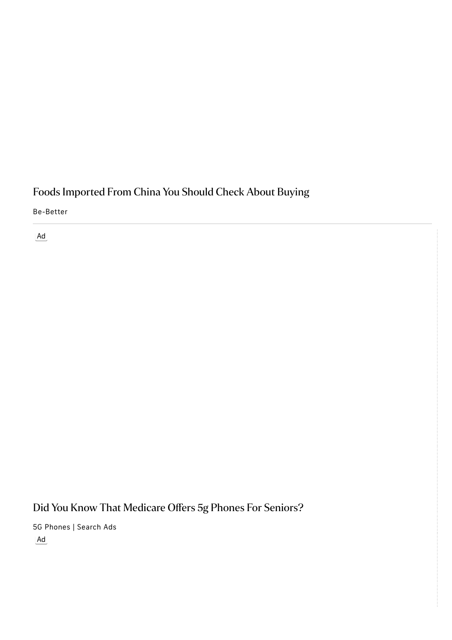### Foods Imported From China You Should Check About Buying

Be-Better

Ad

## Did You Know That [Medicare](https://betterbe.co/life/foods-exported-china/?lo=c&dens=2&sf=1&v=a&utm_source=outbrain&utm_medium=outbrain&utm_campaign=MO_ChinaFoods_OB_D_US_03619&utm_term=$section_id$&obOrigUrl=true) Offers 5g Phones For Seniors?

5G Phones | Search Ads [Ad](http://maternityweek.com/s/scientists-say-sleeping-with-a-fan-on-all-night-could-have-serious-consequences-for-your-body/?l=a&utm_medium=CPC&utm_content=[Pics] Experts Say Sleeping With A Fan On All Night Could Have Serious&utm_source=Outbrain-AdRizer&utm_campaign=487710&utm_term=$publisher_name$_-_$section_name$_-_$publisher_id$_-_$section_id$&obOrigUrl=true)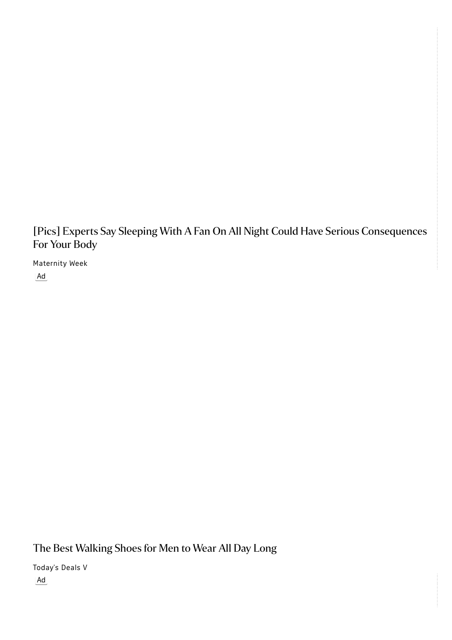[Pics] Experts Say Sleeping With A Fan On All Night Could Have Serious Consequences For Your Body

Maternity Week Ad

The Best [Walking](http://maternityweek.com/s/scientists-say-sleeping-with-a-fan-on-all-night-could-have-serious-consequences-for-your-body/?l=a&utm_medium=CPC&utm_content=[Pics] Experts Say Sleeping With A Fan On All Night Could Have Serious&utm_source=Outbrain-AdRizer&utm_campaign=487710&utm_term=$publisher_name$_-_$section_name$_-_$publisher_id$_-_$section_id$&obOrigUrl=true) Shoes for Men to Wear All Day Long

Today's Deals V [Ad](https://scientificmirror.com/anthropology-and-history/occult/1676-possessed-nun-message-devil-letter-translated/?utm_source=Outbrain&utm_medium=CPC&utm_content=$section_id$_$publisher_name$_$section_name$&utm_campaign=D3_D5_136687_Scientific-Mirror_Semi-Pop-In-1676-A-Possessed-Nun-Wr_US_DESKTOP-MOBILE-TABLET_DS&utm_term=003b52e4a1cb7027d06c75a3b08b05df9f&l=a&o=2-1&c=$cpc$&obOrigUrl=true)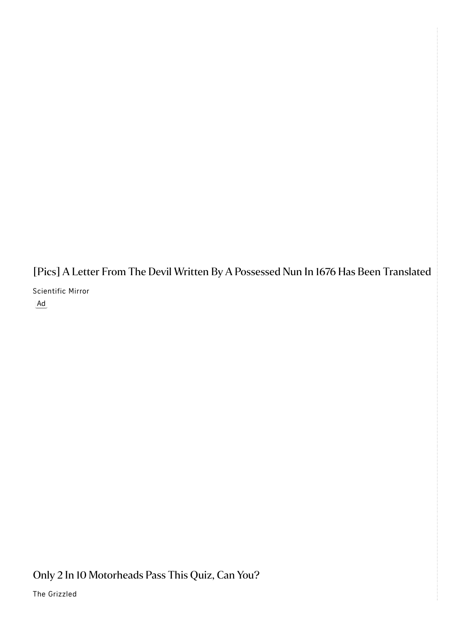[Pics] A Letter From The Devil Written By A Possessed Nun In 1676 Has Been Translated Scientific Mirror Ad

Only 2 In 10 [Motorheads](https://thegrizzled.com/the-ultimate-car-quiz/?version=X3&utm_source=outbrain&utm_medium=$section_name$&utm_campaign=gz_ob_dsk_0918_cp_carq3int&utm_content=003103a982bbcc753805c2205381412313&utm_term=gz ob dsk 0918 cp carq3int&obOrigUrl=true) Pass This Quiz, Can You?

The Grizzled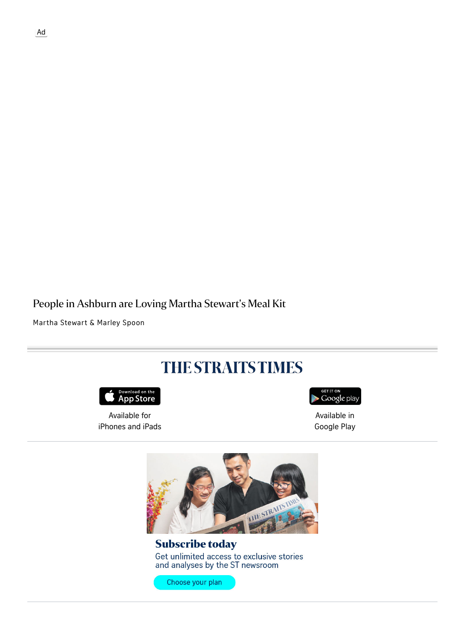#### People in Ashburn are Loving Martha Stewart's Meal Kit

Martha Stewart & Marley Spoon



Get unlimited access to exclusive stories and analyses by the ST newsroom

Choose your plan